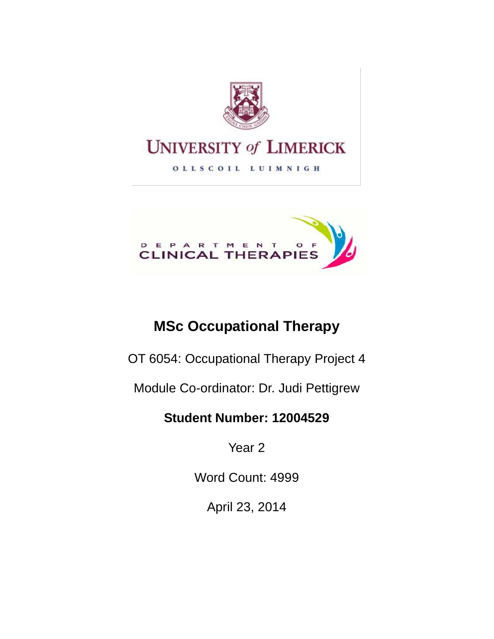

# **UNIVERSITY of LIMERICK**

OLLSCOIL LUIMNIGH



## **MSc Occupational Therapy**

OT 6054: Occupational Therapy Project 4

Module Co-ordinator: Dr. Judi Pettigrew

## **Student Number: 12004529**

Year 2

Word Count: 4999

April 23, 2014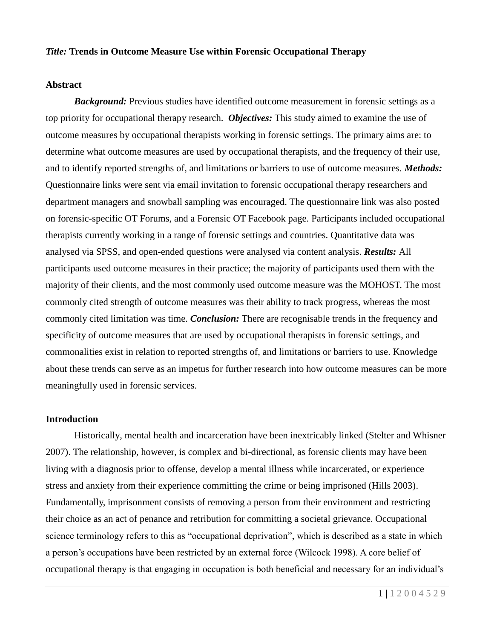#### *Title:* **Trends in Outcome Measure Use within Forensic Occupational Therapy**

#### **Abstract**

**Background:** Previous studies have identified outcome measurement in forensic settings as a top priority for occupational therapy research. *Objectives:* This study aimed to examine the use of outcome measures by occupational therapists working in forensic settings. The primary aims are: to determine what outcome measures are used by occupational therapists, and the frequency of their use, and to identify reported strengths of, and limitations or barriers to use of outcome measures. *Methods:* Questionnaire links were sent via email invitation to forensic occupational therapy researchers and department managers and snowball sampling was encouraged. The questionnaire link was also posted on forensic-specific OT Forums, and a Forensic OT Facebook page. Participants included occupational therapists currently working in a range of forensic settings and countries. Quantitative data was analysed via SPSS, and open-ended questions were analysed via content analysis. *Results:* All participants used outcome measures in their practice; the majority of participants used them with the majority of their clients, and the most commonly used outcome measure was the MOHOST. The most commonly cited strength of outcome measures was their ability to track progress, whereas the most commonly cited limitation was time. *Conclusion:* There are recognisable trends in the frequency and specificity of outcome measures that are used by occupational therapists in forensic settings, and commonalities exist in relation to reported strengths of, and limitations or barriers to use. Knowledge about these trends can serve as an impetus for further research into how outcome measures can be more meaningfully used in forensic services.

#### **Introduction**

Historically, mental health and incarceration have been inextricably linked (Stelter and Whisner 2007). The relationship, however, is complex and bi-directional, as forensic clients may have been living with a diagnosis prior to offense, develop a mental illness while incarcerated, or experience stress and anxiety from their experience committing the crime or being imprisoned (Hills 2003). Fundamentally, imprisonment consists of removing a person from their environment and restricting their choice as an act of penance and retribution for committing a societal grievance. Occupational science terminology refers to this as "occupational deprivation", which is described as a state in which a person's occupations have been restricted by an external force (Wilcock 1998). A core belief of occupational therapy is that engaging in occupation is both beneficial and necessary for an individual's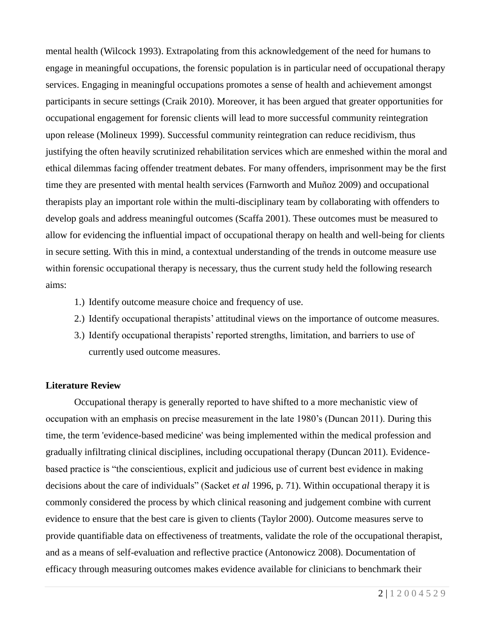mental health (Wilcock 1993). Extrapolating from this acknowledgement of the need for humans to engage in meaningful occupations, the forensic population is in particular need of occupational therapy services. Engaging in meaningful occupations promotes a sense of health and achievement amongst participants in secure settings (Craik 2010). Moreover, it has been argued that greater opportunities for occupational engagement for forensic clients will lead to more successful community reintegration upon release (Molineux 1999). Successful community reintegration can reduce recidivism, thus justifying the often heavily scrutinized rehabilitation services which are enmeshed within the moral and ethical dilemmas facing offender treatment debates. For many offenders, imprisonment may be the first time they are presented with mental health services (Farnworth and Muñoz 2009) and occupational therapists play an important role within the multi-disciplinary team by collaborating with offenders to develop goals and address meaningful outcomes (Scaffa 2001). These outcomes must be measured to allow for evidencing the influential impact of occupational therapy on health and well-being for clients in secure setting. With this in mind, a contextual understanding of the trends in outcome measure use within forensic occupational therapy is necessary, thus the current study held the following research aims:

- 1.) Identify outcome measure choice and frequency of use.
- 2.) Identify occupational therapists' attitudinal views on the importance of outcome measures.
- 3.) Identify occupational therapists' reported strengths, limitation, and barriers to use of currently used outcome measures.

## **Literature Review**

Occupational therapy is generally reported to have shifted to a more mechanistic view of occupation with an emphasis on precise measurement in the late 1980's (Duncan 2011). During this time, the term 'evidence-based medicine' was being implemented within the medical profession and gradually infiltrating clinical disciplines, including occupational therapy (Duncan 2011). Evidencebased practice is "the conscientious, explicit and judicious use of current best evidence in making decisions about the care of individuals" (Sacket *et al* 1996, p. 71). Within occupational therapy it is commonly considered the process by which clinical reasoning and judgement combine with current evidence to ensure that the best care is given to clients (Taylor 2000). Outcome measures serve to provide quantifiable data on effectiveness of treatments, validate the role of the occupational therapist, and as a means of self-evaluation and reflective practice (Antonowicz 2008). Documentation of efficacy through measuring outcomes makes evidence available for clinicians to benchmark their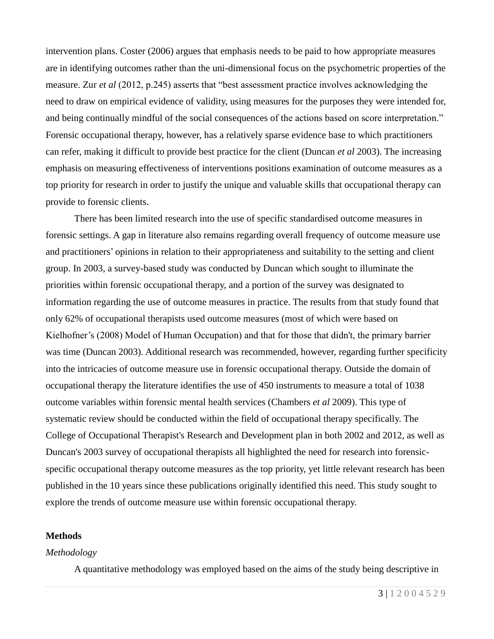intervention plans. Coster (2006) argues that emphasis needs to be paid to how appropriate measures are in identifying outcomes rather than the uni-dimensional focus on the psychometric properties of the measure. Zur *et al* (2012, p.245) asserts that "best assessment practice involves acknowledging the need to draw on empirical evidence of validity, using measures for the purposes they were intended for, and being continually mindful of the social consequences of the actions based on score interpretation." Forensic occupational therapy, however, has a relatively sparse evidence base to which practitioners can refer, making it difficult to provide best practice for the client (Duncan *et al* 2003). The increasing emphasis on measuring effectiveness of interventions positions examination of outcome measures as a top priority for research in order to justify the unique and valuable skills that occupational therapy can provide to forensic clients.

There has been limited research into the use of specific standardised outcome measures in forensic settings. A gap in literature also remains regarding overall frequency of outcome measure use and practitioners' opinions in relation to their appropriateness and suitability to the setting and client group. In 2003, a survey-based study was conducted by Duncan which sought to illuminate the priorities within forensic occupational therapy, and a portion of the survey was designated to information regarding the use of outcome measures in practice. The results from that study found that only 62% of occupational therapists used outcome measures (most of which were based on Kielhofner's (2008) Model of Human Occupation) and that for those that didn't, the primary barrier was time (Duncan 2003). Additional research was recommended, however, regarding further specificity into the intricacies of outcome measure use in forensic occupational therapy. Outside the domain of occupational therapy the literature identifies the use of 450 instruments to measure a total of 1038 outcome variables within forensic mental health services (Chambers *et al* 2009). This type of systematic review should be conducted within the field of occupational therapy specifically. The College of Occupational Therapist's Research and Development plan in both 2002 and 2012, as well as Duncan's 2003 survey of occupational therapists all highlighted the need for research into forensicspecific occupational therapy outcome measures as the top priority, yet little relevant research has been published in the 10 years since these publications originally identified this need. This study sought to explore the trends of outcome measure use within forensic occupational therapy.

## **Methods**

## *Methodology*

A quantitative methodology was employed based on the aims of the study being descriptive in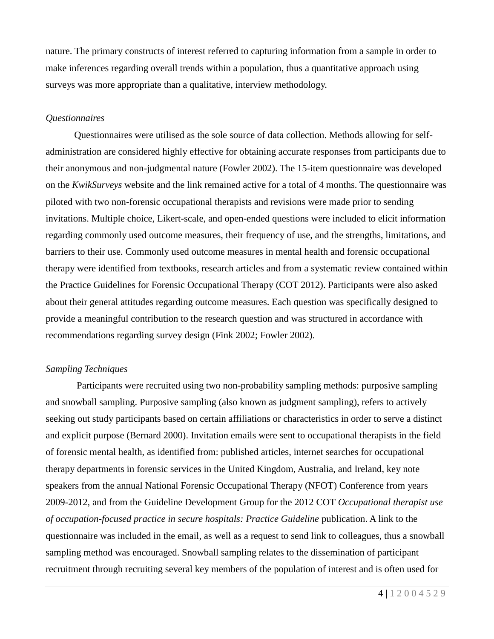nature. The primary constructs of interest referred to capturing information from a sample in order to make inferences regarding overall trends within a population, thus a quantitative approach using surveys was more appropriate than a qualitative, interview methodology.

#### *Questionnaires*

Questionnaires were utilised as the sole source of data collection. Methods allowing for selfadministration are considered highly effective for obtaining accurate responses from participants due to their anonymous and non-judgmental nature (Fowler 2002). The 15-item questionnaire was developed on the *KwikSurveys* website and the link remained active for a total of 4 months. The questionnaire was piloted with two non-forensic occupational therapists and revisions were made prior to sending invitations. Multiple choice, Likert-scale, and open-ended questions were included to elicit information regarding commonly used outcome measures, their frequency of use, and the strengths, limitations, and barriers to their use. Commonly used outcome measures in mental health and forensic occupational therapy were identified from textbooks, research articles and from a systematic review contained within the Practice Guidelines for Forensic Occupational Therapy (COT 2012). Participants were also asked about their general attitudes regarding outcome measures. Each question was specifically designed to provide a meaningful contribution to the research question and was structured in accordance with recommendations regarding survey design (Fink 2002; Fowler 2002).

#### *Sampling Techniques*

Participants were recruited using two non-probability sampling methods: purposive sampling and snowball sampling. Purposive sampling (also known as judgment sampling), refers to actively seeking out study participants based on certain affiliations or characteristics in order to serve a distinct and explicit purpose (Bernard 2000). Invitation emails were sent to occupational therapists in the field of forensic mental health, as identified from: published articles, internet searches for occupational therapy departments in forensic services in the United Kingdom, Australia, and Ireland, key note speakers from the annual National Forensic Occupational Therapy (NFOT) Conference from years 2009-2012, and from the Guideline Development Group for the 2012 COT *Occupational therapist use of occupation-focused practice in secure hospitals: Practice Guideline* publication. A link to the questionnaire was included in the email, as well as a request to send link to colleagues, thus a snowball sampling method was encouraged. Snowball sampling relates to the dissemination of participant recruitment through recruiting several key members of the population of interest and is often used for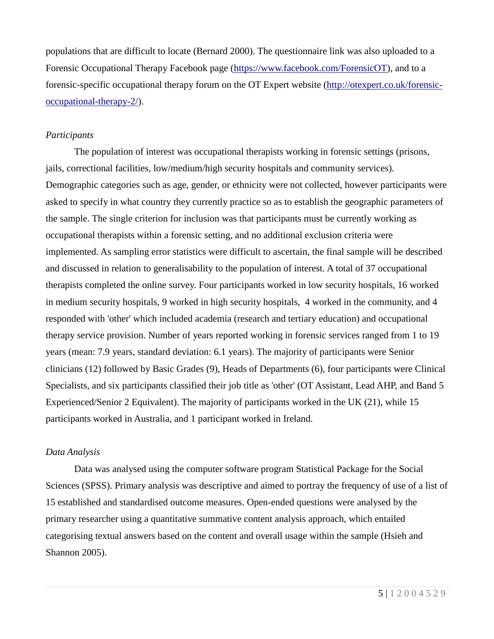populations that are difficult to locate (Bernard 2000). The questionnaire link was also uploaded to a Forensic Occupational Therapy Facebook page [\(https://www.facebook.com/ForensicOT\)](https://www.facebook.com/ForensicOT), and to a forensic-specific occupational therapy forum on the OT Expert website [\(http://otexpert.co.uk/forensic](http://otexpert.co.uk/forensic-occupational-therapy-2/)[occupational-therapy-2/\)](http://otexpert.co.uk/forensic-occupational-therapy-2/).

## *Participants*

The population of interest was occupational therapists working in forensic settings (prisons, jails, correctional facilities, low/medium/high security hospitals and community services). Demographic categories such as age, gender, or ethnicity were not collected, however participants were asked to specify in what country they currently practice so as to establish the geographic parameters of the sample. The single criterion for inclusion was that participants must be currently working as occupational therapists within a forensic setting, and no additional exclusion criteria were implemented. As sampling error statistics were difficult to ascertain, the final sample will be described and discussed in relation to generalisability to the population of interest. A total of 37 occupational therapists completed the online survey. Four participants worked in low security hospitals, 16 worked in medium security hospitals, 9 worked in high security hospitals, 4 worked in the community, and 4 responded with 'other' which included academia (research and tertiary education) and occupational therapy service provision. Number of years reported working in forensic services ranged from 1 to 19 years (mean: 7.9 years, standard deviation: 6.1 years). The majority of participants were Senior clinicians (12) followed by Basic Grades (9), Heads of Departments (6), four participants were Clinical Specialists, and six participants classified their job title as 'other' (OT Assistant, Lead AHP, and Band 5 Experienced/Senior 2 Equivalent). The majority of participants worked in the UK (21), while 15 participants worked in Australia, and 1 participant worked in Ireland.

## *Data Analysis*

Data was analysed using the computer software program Statistical Package for the Social Sciences (SPSS). Primary analysis was descriptive and aimed to portray the frequency of use of a list of 15 established and standardised outcome measures. Open-ended questions were analysed by the primary researcher using a quantitative summative content analysis approach, which entailed categorising textual answers based on the content and overall usage within the sample (Hsieh and Shannon 2005).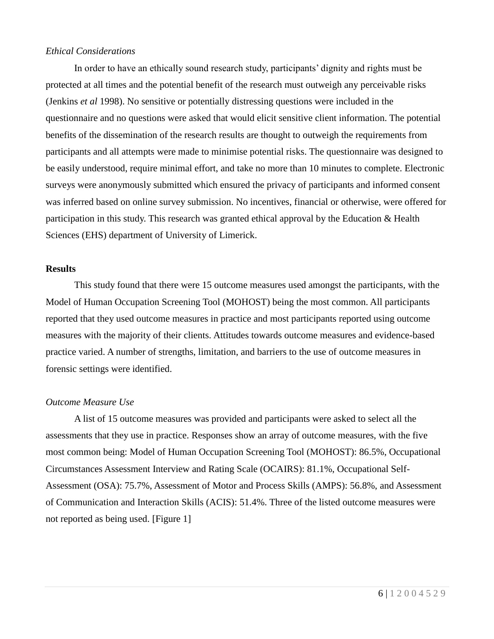#### *Ethical Considerations*

In order to have an ethically sound research study, participants' dignity and rights must be protected at all times and the potential benefit of the research must outweigh any perceivable risks (Jenkins *et al* 1998). No sensitive or potentially distressing questions were included in the questionnaire and no questions were asked that would elicit sensitive client information. The potential benefits of the dissemination of the research results are thought to outweigh the requirements from participants and all attempts were made to minimise potential risks. The questionnaire was designed to be easily understood, require minimal effort, and take no more than 10 minutes to complete. Electronic surveys were anonymously submitted which ensured the privacy of participants and informed consent was inferred based on online survey submission. No incentives, financial or otherwise, were offered for participation in this study. This research was granted ethical approval by the Education & Health Sciences (EHS) department of University of Limerick.

#### **Results**

This study found that there were 15 outcome measures used amongst the participants, with the Model of Human Occupation Screening Tool (MOHOST) being the most common. All participants reported that they used outcome measures in practice and most participants reported using outcome measures with the majority of their clients. Attitudes towards outcome measures and evidence-based practice varied. A number of strengths, limitation, and barriers to the use of outcome measures in forensic settings were identified.

#### *Outcome Measure Use*

A list of 15 outcome measures was provided and participants were asked to select all the assessments that they use in practice. Responses show an array of outcome measures, with the five most common being: Model of Human Occupation Screening Tool (MOHOST): 86.5%, Occupational Circumstances Assessment Interview and Rating Scale (OCAIRS): 81.1%, Occupational Self-Assessment (OSA): 75.7%, Assessment of Motor and Process Skills (AMPS): 56.8%, and Assessment of Communication and Interaction Skills (ACIS): 51.4%. Three of the listed outcome measures were not reported as being used. [Figure 1]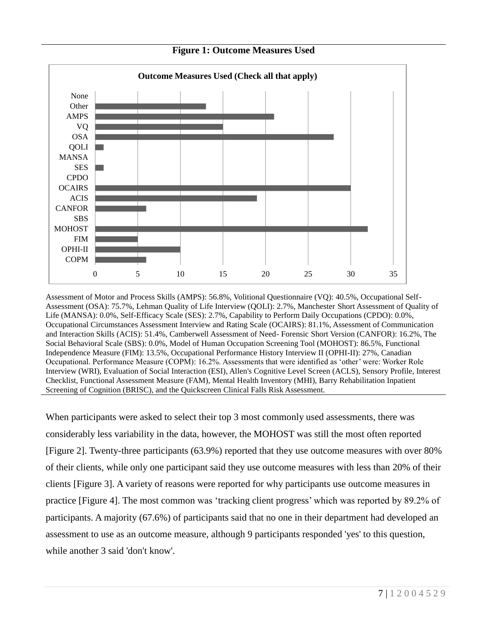

**Figure 1: Outcome Measures Used**

Assessment of Motor and Process Skills (AMPS): 56.8%, Volitional Questionnaire (VQ): 40.5%, Occupational Self-Assessment (OSA): 75.7%, Lehman Quality of Life Interview (QOLI): 2.7%, Manchester Short Assessment of Quality of Life (MANSA): 0.0%, Self-Efficacy Scale (SES): 2.7%, Capability to Perform Daily Occupations (CPDO): 0.0%, Occupational Circumstances Assessment Interview and Rating Scale (OCAIRS): 81.1%, Assessment of Communication and Interaction Skills (ACIS): 51.4%, Camberwell Assessment of Need- Forensic Short Version (CANFOR): 16.2%, The Social Behavioral Scale (SBS): 0.0%, Model of Human Occupation Screening Tool (MOHOST): 86.5%, Functional Independence Measure (FIM): 13.5%, Occupational Performance History Interview II (OPHI-II): 27%, Canadian Occupational. Performance Measure (COPM): 16.2%. Assessments that were identified as 'other' were: Worker Role Interview (WRI), Evaluation of Social Interaction (ESI), Allen's Cognitive Level Screen (ACLS), Sensory Profile, Interest Checklist, Functional Assessment Measure (FAM), Mental Health Inventory (MHI), Barry Rehabilitation Inpatient Screening of Cognition (BRISC), and the Quickscreen Clinical Falls Risk Assessment.

When participants were asked to select their top 3 most commonly used assessments, there was considerably less variability in the data, however, the MOHOST was still the most often reported [Figure 2]. Twenty-three participants (63.9%) reported that they use outcome measures with over 80% of their clients, while only one participant said they use outcome measures with less than 20% of their clients [Figure 3]. A variety of reasons were reported for why participants use outcome measures in practice [Figure 4]. The most common was 'tracking client progress' which was reported by 89.2% of participants. A majority (67.6%) of participants said that no one in their department had developed an assessment to use as an outcome measure, although 9 participants responded 'yes' to this question, while another 3 said 'don't know'.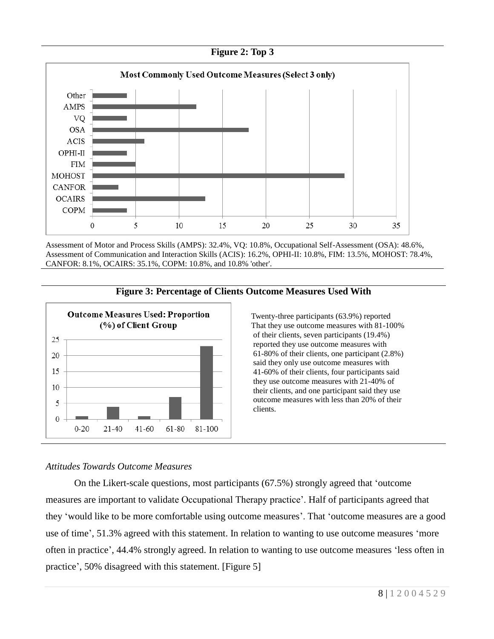

Assessment of Motor and Process Skills (AMPS): 32.4%, VQ: 10.8%, Occupational Self-Assessment (OSA): 48.6%, Assessment of Communication and Interaction Skills (ACIS): 16.2%, OPHI-II: 10.8%, FIM: 13.5%, MOHOST: 78.4%, CANFOR: 8.1%, OCAIRS: 35.1%, COPM: 10.8%, and 10.8% 'other'.



#### **Figure 3: Percentage of Clients Outcome Measures Used With**

Twenty-three participants (63.9%) reported That they use outcome measures with 81-100% of their clients, seven participants (19.4%) reported they use outcome measures with 61-80% of their clients, one participant (2.8%) said they only use outcome measures with 41-60% of their clients, four participants said they use outcome measures with 21-40% of their clients, and one participant said they use outcome measures with less than 20% of their clients.

## *Attitudes Towards Outcome Measures*

On the Likert-scale questions, most participants (67.5%) strongly agreed that 'outcome measures are important to validate Occupational Therapy practice'. Half of participants agreed that they 'would like to be more comfortable using outcome measures'. That 'outcome measures are a good use of time', 51.3% agreed with this statement. In relation to wanting to use outcome measures 'more often in practice', 44.4% strongly agreed. In relation to wanting to use outcome measures 'less often in practice', 50% disagreed with this statement. [Figure 5]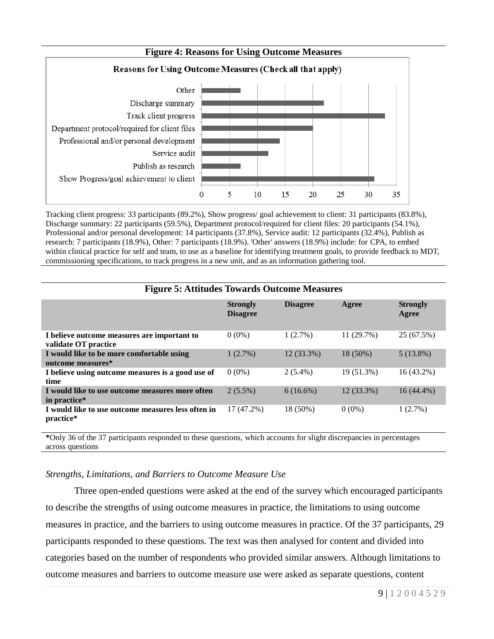

Tracking client progress: 33 participants (89.2%), Show progress/ goal achievement to client: 31 participants (83.8%), Discharge summary: 22 participants (59.5%), Department protocol/required for client files: 20 participants (54.1%), Professional and/or personal development: 14 participants (37.8%), Service audit: 12 participants (32.4%), Publish as research: 7 participants (18.9%), Other: 7 participants (18.9%). 'Other' answers (18.9%) include: for CPA, to embed within clinical practice for self and team, to use as a baseline for identifying treatment goals, to provide feedback to MDT, commissioning specifications, to track progress in a new unit, and as an information gathering tool.

| <b>Figure 5: Attitudes Towards Outcome Measures</b>                 |                                    |                 |            |                          |
|---------------------------------------------------------------------|------------------------------------|-----------------|------------|--------------------------|
|                                                                     | <b>Strongly</b><br><b>Disagree</b> | <b>Disagree</b> | Agree      | <b>Strongly</b><br>Agree |
| I believe outcome measures are important to<br>validate OT practice | $0(0\%)$                           | 1(2.7%)         | 11(29.7%)  | 25 (67.5%)               |
| I would like to be more comfortable using<br>outcome measures*      | 1(2.7%)                            | 12 (33.3%)      | 18 (50%)   | $5(13.8\%)$              |
| I believe using outcome measures is a good use of<br>time           | $0(0\%)$                           | $2(5.4\%)$      | 19 (51.3%) | $16(43.2\%)$             |
| I would like to use outcome measures more often<br>in practice*     | $2(5.5\%)$                         | $6(16.6\%)$     | 12 (33.3%) | $16(44.4\%)$             |
| I would like to use outcome measures less often in<br>practice*     | 17 (47.2%)                         | 18 (50%)        | $0(0\%)$   | 1(2.7%)                  |

**\***Only 36 of the 37 participants responded to these questions, which accounts for slight discrepancies in percentages across questions

## *Strengths, Limitations, and Barriers to Outcome Measure Use*

Three open-ended questions were asked at the end of the survey which encouraged participants to describe the strengths of using outcome measures in practice, the limitations to using outcome measures in practice, and the barriers to using outcome measures in practice. Of the 37 participants, 29 participants responded to these questions. The text was then analysed for content and divided into categories based on the number of respondents who provided similar answers. Although limitations to outcome measures and barriers to outcome measure use were asked as separate questions, content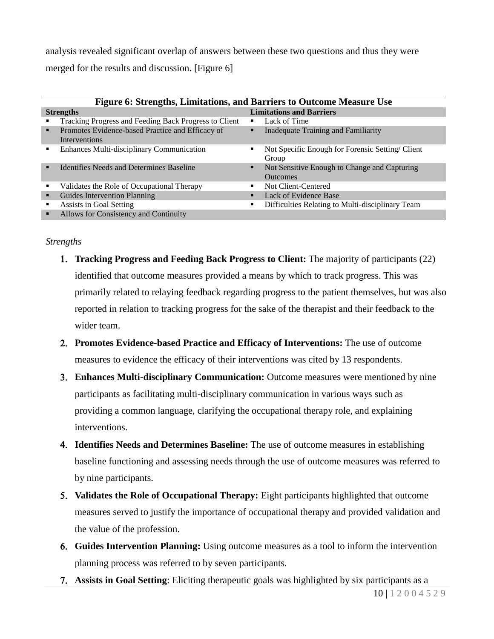analysis revealed significant overlap of answers between these two questions and thus they were merged for the results and discussion. [Figure 6]

| <b>Figure 6: Strengths, Limitations, and Barriers to Outcome Measure Use</b> |                                                       |  |  |
|------------------------------------------------------------------------------|-------------------------------------------------------|--|--|
| <b>Strengths</b>                                                             | <b>Limitations and Barriers</b>                       |  |  |
| Tracking Progress and Feeding Back Progress to Client                        | Lack of Time                                          |  |  |
| Promotes Evidence-based Practice and Efficacy of<br>٠                        | Inadequate Training and Familiarity                   |  |  |
| <b>Interventions</b>                                                         |                                                       |  |  |
| <b>Enhances Multi-disciplinary Communication</b><br>$\blacksquare$           | Not Specific Enough for Forensic Setting/Client<br>٠  |  |  |
|                                                                              | Group                                                 |  |  |
| Identifies Needs and Determines Baseline                                     | Not Sensitive Enough to Change and Capturing<br>п     |  |  |
|                                                                              | <b>Outcomes</b>                                       |  |  |
| Validates the Role of Occupational Therapy<br>٠                              | Not Client-Centered                                   |  |  |
| Guides Intervention Planning<br>٠                                            | Lack of Evidence Base<br>п                            |  |  |
| Assists in Goal Setting<br>٠                                                 | Difficulties Relating to Multi-disciplinary Team<br>٠ |  |  |
| Allows for Consistency and Continuity<br>٠                                   |                                                       |  |  |

## *Strengths*

- **Tracking Progress and Feeding Back Progress to Client:** The majority of participants (22) identified that outcome measures provided a means by which to track progress. This was primarily related to relaying feedback regarding progress to the patient themselves, but was also reported in relation to tracking progress for the sake of the therapist and their feedback to the wider team.
- **Promotes Evidence-based Practice and Efficacy of Interventions:** The use of outcome measures to evidence the efficacy of their interventions was cited by 13 respondents.
- **Enhances Multi-disciplinary Communication:** Outcome measures were mentioned by nine participants as facilitating multi-disciplinary communication in various ways such as providing a common language, clarifying the occupational therapy role, and explaining interventions.
- **Identifies Needs and Determines Baseline:** The use of outcome measures in establishing baseline functioning and assessing needs through the use of outcome measures was referred to by nine participants.
- **Validates the Role of Occupational Therapy:** Eight participants highlighted that outcome measures served to justify the importance of occupational therapy and provided validation and the value of the profession.
- **Guides Intervention Planning:** Using outcome measures as a tool to inform the intervention planning process was referred to by seven participants.
- **Assists in Goal Setting**: Eliciting therapeutic goals was highlighted by six participants as a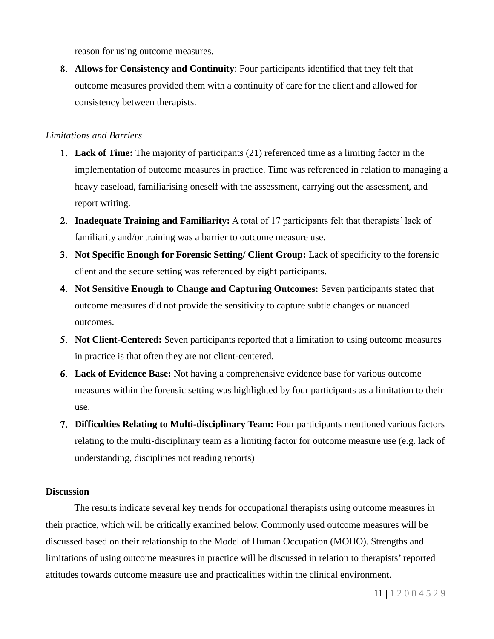reason for using outcome measures.

 **Allows for Consistency and Continuity**: Four participants identified that they felt that outcome measures provided them with a continuity of care for the client and allowed for consistency between therapists.

## *Limitations and Barriers*

- **Lack of Time:** The majority of participants (21) referenced time as a limiting factor in the implementation of outcome measures in practice. Time was referenced in relation to managing a heavy caseload, familiarising oneself with the assessment, carrying out the assessment, and report writing.
- **Inadequate Training and Familiarity:** A total of 17 participants felt that therapists' lack of familiarity and/or training was a barrier to outcome measure use.
- **Not Specific Enough for Forensic Setting/ Client Group:** Lack of specificity to the forensic client and the secure setting was referenced by eight participants.
- **Not Sensitive Enough to Change and Capturing Outcomes:** Seven participants stated that outcome measures did not provide the sensitivity to capture subtle changes or nuanced outcomes.
- **Not Client-Centered:** Seven participants reported that a limitation to using outcome measures in practice is that often they are not client-centered.
- **Lack of Evidence Base:** Not having a comprehensive evidence base for various outcome measures within the forensic setting was highlighted by four participants as a limitation to their use.
- **Difficulties Relating to Multi-disciplinary Team:** Four participants mentioned various factors relating to the multi-disciplinary team as a limiting factor for outcome measure use (e.g. lack of understanding, disciplines not reading reports)

## **Discussion**

The results indicate several key trends for occupational therapists using outcome measures in their practice, which will be critically examined below. Commonly used outcome measures will be discussed based on their relationship to the Model of Human Occupation (MOHO). Strengths and limitations of using outcome measures in practice will be discussed in relation to therapists' reported attitudes towards outcome measure use and practicalities within the clinical environment.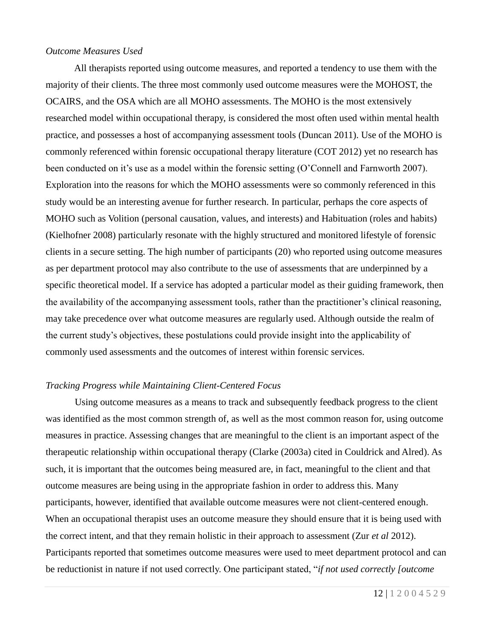#### *Outcome Measures Used*

All therapists reported using outcome measures, and reported a tendency to use them with the majority of their clients. The three most commonly used outcome measures were the MOHOST, the OCAIRS, and the OSA which are all MOHO assessments. The MOHO is the most extensively researched model within occupational therapy, is considered the most often used within mental health practice, and possesses a host of accompanying assessment tools (Duncan 2011). Use of the MOHO is commonly referenced within forensic occupational therapy literature (COT 2012) yet no research has been conducted on it's use as a model within the forensic setting (O'Connell and Farnworth 2007). Exploration into the reasons for which the MOHO assessments were so commonly referenced in this study would be an interesting avenue for further research. In particular, perhaps the core aspects of MOHO such as Volition (personal causation, values, and interests) and Habituation (roles and habits) (Kielhofner 2008) particularly resonate with the highly structured and monitored lifestyle of forensic clients in a secure setting. The high number of participants (20) who reported using outcome measures as per department protocol may also contribute to the use of assessments that are underpinned by a specific theoretical model. If a service has adopted a particular model as their guiding framework, then the availability of the accompanying assessment tools, rather than the practitioner's clinical reasoning, may take precedence over what outcome measures are regularly used. Although outside the realm of the current study's objectives, these postulations could provide insight into the applicability of commonly used assessments and the outcomes of interest within forensic services.

### *Tracking Progress while Maintaining Client-Centered Focus*

Using outcome measures as a means to track and subsequently feedback progress to the client was identified as the most common strength of, as well as the most common reason for, using outcome measures in practice. Assessing changes that are meaningful to the client is an important aspect of the therapeutic relationship within occupational therapy (Clarke (2003a) cited in Couldrick and Alred). As such, it is important that the outcomes being measured are, in fact, meaningful to the client and that outcome measures are being using in the appropriate fashion in order to address this. Many participants, however, identified that available outcome measures were not client-centered enough. When an occupational therapist uses an outcome measure they should ensure that it is being used with the correct intent, and that they remain holistic in their approach to assessment (Zur *et al* 2012). Participants reported that sometimes outcome measures were used to meet department protocol and can be reductionist in nature if not used correctly. One participant stated, "*if not used correctly [outcome*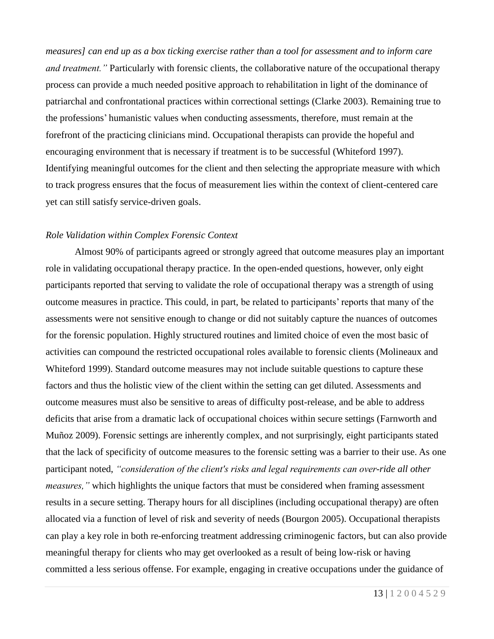*measures] can end up as a box ticking exercise rather than a tool for assessment and to inform care and treatment."* Particularly with forensic clients, the collaborative nature of the occupational therapy process can provide a much needed positive approach to rehabilitation in light of the dominance of patriarchal and confrontational practices within correctional settings (Clarke 2003). Remaining true to the professions' humanistic values when conducting assessments, therefore, must remain at the forefront of the practicing clinicians mind. Occupational therapists can provide the hopeful and encouraging environment that is necessary if treatment is to be successful (Whiteford 1997). Identifying meaningful outcomes for the client and then selecting the appropriate measure with which to track progress ensures that the focus of measurement lies within the context of client-centered care yet can still satisfy service-driven goals.

## *Role Validation within Complex Forensic Context*

Almost 90% of participants agreed or strongly agreed that outcome measures play an important role in validating occupational therapy practice. In the open-ended questions, however, only eight participants reported that serving to validate the role of occupational therapy was a strength of using outcome measures in practice. This could, in part, be related to participants' reports that many of the assessments were not sensitive enough to change or did not suitably capture the nuances of outcomes for the forensic population. Highly structured routines and limited choice of even the most basic of activities can compound the restricted occupational roles available to forensic clients (Molineaux and Whiteford 1999). Standard outcome measures may not include suitable questions to capture these factors and thus the holistic view of the client within the setting can get diluted. Assessments and outcome measures must also be sensitive to areas of difficulty post-release, and be able to address deficits that arise from a dramatic lack of occupational choices within secure settings (Farnworth and Muñoz 2009). Forensic settings are inherently complex, and not surprisingly, eight participants stated that the lack of specificity of outcome measures to the forensic setting was a barrier to their use. As one participant noted, *"consideration of the client's risks and legal requirements can over-ride all other measures,"* which highlights the unique factors that must be considered when framing assessment results in a secure setting. Therapy hours for all disciplines (including occupational therapy) are often allocated via a function of level of risk and severity of needs (Bourgon 2005). Occupational therapists can play a key role in both re-enforcing treatment addressing criminogenic factors, but can also provide meaningful therapy for clients who may get overlooked as a result of being low-risk or having committed a less serious offense. For example, engaging in creative occupations under the guidance of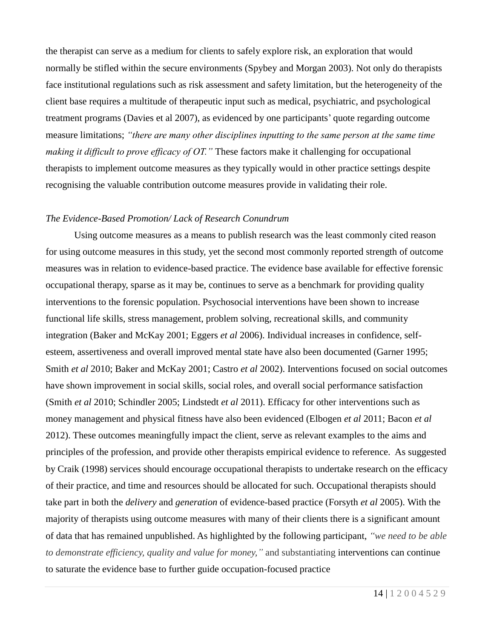the therapist can serve as a medium for clients to safely explore risk, an exploration that would normally be stifled within the secure environments (Spybey and Morgan 2003). Not only do therapists face institutional regulations such as risk assessment and safety limitation, but the heterogeneity of the client base requires a multitude of therapeutic input such as medical, psychiatric, and psychological treatment programs (Davies et al 2007), as evidenced by one participants' quote regarding outcome measure limitations; *"there are many other disciplines inputting to the same person at the same time making it difficult to prove efficacy of OT."* These factors make it challenging for occupational therapists to implement outcome measures as they typically would in other practice settings despite recognising the valuable contribution outcome measures provide in validating their role.

## *The Evidence-Based Promotion/ Lack of Research Conundrum*

Using outcome measures as a means to publish research was the least commonly cited reason for using outcome measures in this study, yet the second most commonly reported strength of outcome measures was in relation to evidence-based practice. The evidence base available for effective forensic occupational therapy, sparse as it may be, continues to serve as a benchmark for providing quality interventions to the forensic population. Psychosocial interventions have been shown to increase functional life skills, stress management, problem solving, recreational skills, and community integration (Baker and McKay 2001; Eggers *et al* 2006). Individual increases in confidence, selfesteem, assertiveness and overall improved mental state have also been documented (Garner 1995; Smith *et al* 2010; Baker and McKay 2001; Castro *et al* 2002). Interventions focused on social outcomes have shown improvement in social skills, social roles, and overall social performance satisfaction (Smith *et al* 2010; Schindler 2005; Lindstedt *et al* 2011). Efficacy for other interventions such as money management and physical fitness have also been evidenced (Elbogen *et al* 2011; Bacon *et al* 2012). These outcomes meaningfully impact the client, serve as relevant examples to the aims and principles of the profession, and provide other therapists empirical evidence to reference. As suggested by Craik (1998) services should encourage occupational therapists to undertake research on the efficacy of their practice, and time and resources should be allocated for such. Occupational therapists should take part in both the *delivery* and *generation* of evidence-based practice (Forsyth *et al* 2005). With the majority of therapists using outcome measures with many of their clients there is a significant amount of data that has remained unpublished. As highlighted by the following participant, *"we need to be able to demonstrate efficiency, quality and value for money,"* and substantiating interventions can continue to saturate the evidence base to further guide occupation-focused practice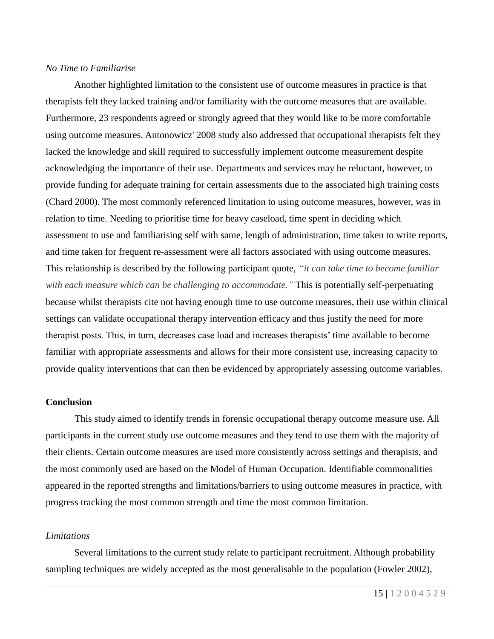#### *No Time to Familiarise*

Another highlighted limitation to the consistent use of outcome measures in practice is that therapists felt they lacked training and/or familiarity with the outcome measures that are available. Furthermore, 23 respondents agreed or strongly agreed that they would like to be more comfortable using outcome measures. Antonowicz' 2008 study also addressed that occupational therapists felt they lacked the knowledge and skill required to successfully implement outcome measurement despite acknowledging the importance of their use. Departments and services may be reluctant, however, to provide funding for adequate training for certain assessments due to the associated high training costs (Chard 2000). The most commonly referenced limitation to using outcome measures, however, was in relation to time. Needing to prioritise time for heavy caseload, time spent in deciding which assessment to use and familiarising self with same, length of administration, time taken to write reports, and time taken for frequent re-assessment were all factors associated with using outcome measures. This relationship is described by the following participant quote, *"it can take time to become familiar with each measure which can be challenging to accommodate."* This is potentially self-perpetuating because whilst therapists cite not having enough time to use outcome measures, their use within clinical settings can validate occupational therapy intervention efficacy and thus justify the need for more therapist posts. This, in turn, decreases case load and increases therapists' time available to become familiar with appropriate assessments and allows for their more consistent use, increasing capacity to provide quality interventions that can then be evidenced by appropriately assessing outcome variables.

#### **Conclusion**

This study aimed to identify trends in forensic occupational therapy outcome measure use. All participants in the current study use outcome measures and they tend to use them with the majority of their clients. Certain outcome measures are used more consistently across settings and therapists, and the most commonly used are based on the Model of Human Occupation. Identifiable commonalities appeared in the reported strengths and limitations/barriers to using outcome measures in practice, with progress tracking the most common strength and time the most common limitation.

#### *Limitations*

Several limitations to the current study relate to participant recruitment. Although probability sampling techniques are widely accepted as the most generalisable to the population (Fowler 2002),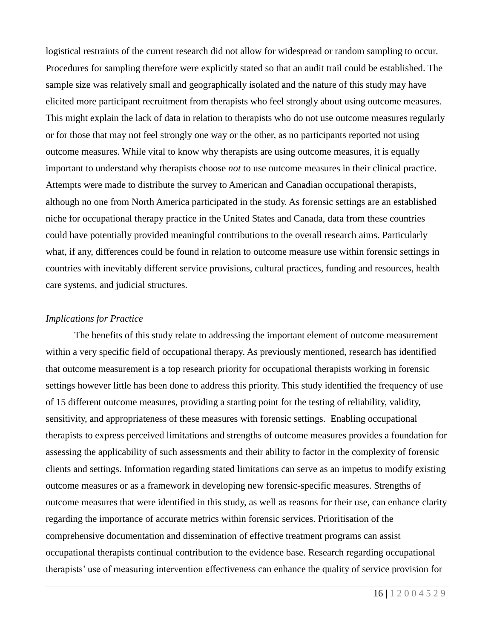logistical restraints of the current research did not allow for widespread or random sampling to occur. Procedures for sampling therefore were explicitly stated so that an audit trail could be established. The sample size was relatively small and geographically isolated and the nature of this study may have elicited more participant recruitment from therapists who feel strongly about using outcome measures. This might explain the lack of data in relation to therapists who do not use outcome measures regularly or for those that may not feel strongly one way or the other, as no participants reported not using outcome measures. While vital to know why therapists are using outcome measures, it is equally important to understand why therapists choose *not* to use outcome measures in their clinical practice. Attempts were made to distribute the survey to American and Canadian occupational therapists, although no one from North America participated in the study. As forensic settings are an established niche for occupational therapy practice in the United States and Canada, data from these countries could have potentially provided meaningful contributions to the overall research aims. Particularly what, if any, differences could be found in relation to outcome measure use within forensic settings in countries with inevitably different service provisions, cultural practices, funding and resources, health care systems, and judicial structures.

## *Implications for Practice*

The benefits of this study relate to addressing the important element of outcome measurement within a very specific field of occupational therapy. As previously mentioned, research has identified that outcome measurement is a top research priority for occupational therapists working in forensic settings however little has been done to address this priority. This study identified the frequency of use of 15 different outcome measures, providing a starting point for the testing of reliability, validity, sensitivity, and appropriateness of these measures with forensic settings. Enabling occupational therapists to express perceived limitations and strengths of outcome measures provides a foundation for assessing the applicability of such assessments and their ability to factor in the complexity of forensic clients and settings. Information regarding stated limitations can serve as an impetus to modify existing outcome measures or as a framework in developing new forensic-specific measures. Strengths of outcome measures that were identified in this study, as well as reasons for their use, can enhance clarity regarding the importance of accurate metrics within forensic services. Prioritisation of the comprehensive documentation and dissemination of effective treatment programs can assist occupational therapists continual contribution to the evidence base. Research regarding occupational therapists' use of measuring intervention effectiveness can enhance the quality of service provision for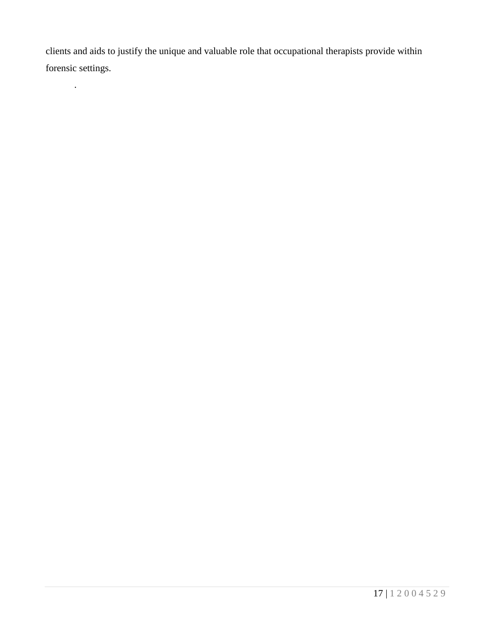clients and aids to justify the unique and valuable role that occupational therapists provide within forensic settings.

.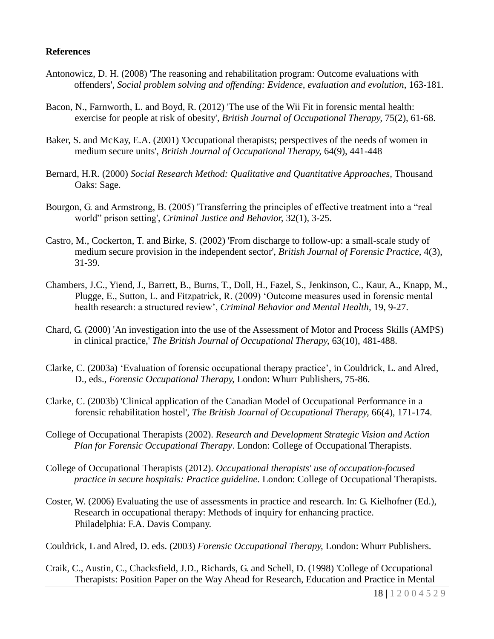## **References**

- Antonowicz, D. H. (2008) 'The reasoning and rehabilitation program: Outcome evaluations with offenders', *Social problem solving and offending: Evidence, evaluation and evolution*, 163-181.
- Bacon, N., Farnworth, L. and Boyd, R. (2012) 'The use of the Wii Fit in forensic mental health: exercise for people at risk of obesity', *British Journal of Occupational Therapy,* 75(2), 61-68.
- Baker, S. and McKay, E.A. (2001) 'Occupational therapists; perspectives of the needs of women in medium secure units', *British Journal of Occupational Therapy,* 64(9), 441-448
- Bernard, H.R. (2000) *Social Research Method: Qualitative and Quantitative Approaches,* Thousand Oaks: Sage.
- Bourgon, G. and Armstrong, B. (2005) 'Transferring the principles of effective treatment into a "real world" prison setting', *Criminal Justice and Behavior,* 32(1), 3-25.
- Castro, M., Cockerton, T. and Birke, S. (2002) 'From discharge to follow-up: a small-scale study of medium secure provision in the independent sector', *British Journal of Forensic Practice,* 4(3), 31-39.
- Chambers, J.C., Yiend, J., Barrett, B., Burns, T., Doll, H., Fazel, S., Jenkinson, C., Kaur, A., Knapp, M., Plugge, E., Sutton, L. and Fitzpatrick, R. (2009) 'Outcome measures used in forensic mental health research: a structured review', *Criminal Behavior and Mental Health,* 19, 9-27.
- Chard, G. (2000) 'An investigation into the use of the Assessment of Motor and Process Skills (AMPS) in clinical practice,' *The British Journal of Occupational Therapy,* 63(10), 481-488.
- Clarke, C. (2003a) 'Evaluation of forensic occupational therapy practice', in Couldrick, L. and Alred, D., eds., *Forensic Occupational Therapy,* London: Whurr Publishers, 75-86.
- Clarke, C. (2003b) 'Clinical application of the Canadian Model of Occupational Performance in a forensic rehabilitation hostel', *The British Journal of Occupational Therapy,* 66(4), 171-174.
- College of Occupational Therapists (2002). *Research and Development Strategic Vision and Action Plan for Forensic Occupational Therapy*. London: College of Occupational Therapists.
- College of Occupational Therapists (2012). *Occupational therapists' use of occupation-focused practice in secure hospitals: Practice guideline*. London: College of Occupational Therapists.
- Coster, W. (2006) Evaluating the use of assessments in practice and research. In: G. Kielhofner (Ed.), Research in occupational therapy: Methods of inquiry for enhancing practice. Philadelphia: F.A. Davis Company.

Couldrick, L and Alred, D. eds. (2003) *Forensic Occupational Therapy,* London: Whurr Publishers.

Craik, C., Austin, C., Chacksfield, J.D., Richards, G. and Schell, D. (1998) 'College of Occupational Therapists: Position Paper on the Way Ahead for Research, Education and Practice in Mental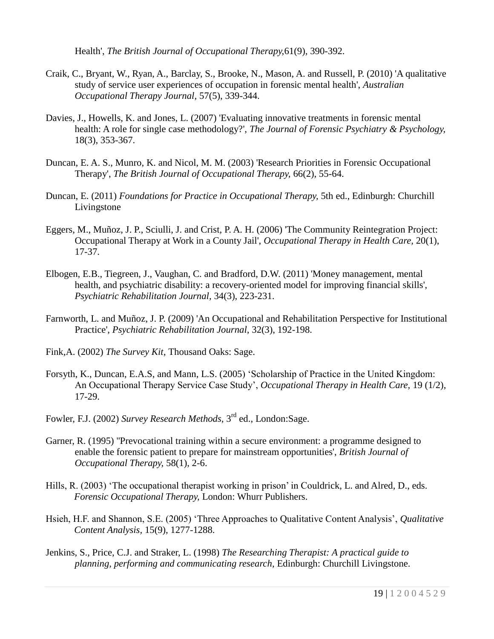Health', *The British Journal of Occupational Therapy,*61(9), 390-392.

- Craik, C., Bryant, W., Ryan, A., Barclay, S., Brooke, N., Mason, A. and Russell, P. (2010) 'A qualitative study of service user experiences of occupation in forensic mental health', *Australian Occupational Therapy Journal,* 57(5), 339-344.
- Davies, J., Howells, K. and Jones, L. (2007) 'Evaluating innovative treatments in forensic mental health: A role for single case methodology?', *The Journal of Forensic Psychiatry & Psychology,*  18(3), 353-367.
- Duncan, E. A. S., Munro, K. and Nicol, M. M. (2003) 'Research Priorities in Forensic Occupational Therapy', *The British Journal of Occupational Therapy,* 66(2), 55-64.
- Duncan, E. (2011) *Foundations for Practice in Occupational Therapy,* 5th ed., Edinburgh: Churchill Livingstone
- Eggers, M., Muñoz, J. P., Sciulli, J. and Crist, P. A. H. (2006) 'The Community Reintegration Project: Occupational Therapy at Work in a County Jail', *Occupational Therapy in Health Care,* 20(1), 17-37.
- Elbogen, E.B., Tiegreen, J., Vaughan, C. and Bradford, D.W. (2011) 'Money management, mental health, and psychiatric disability: a recovery-oriented model for improving financial skills', *Psychiatric Rehabilitation Journal,* 34(3), 223-231.
- Farnworth, L. and Muñoz, J. P. (2009) 'An Occupational and Rehabilitation Perspective for Institutional Practice', *Psychiatric Rehabilitation Journal,* 32(3), 192-198.
- Fink,A. (2002) *The Survey Kit,* Thousand Oaks: Sage.
- Forsyth, K., Duncan, E.A.S, and Mann, L.S. (2005) 'Scholarship of Practice in the United Kingdom: An Occupational Therapy Service Case Study', *Occupational Therapy in Health Care,* 19 (1/2), 17-29.
- Fowler, F.J. (2002) *Survey Research Methods,* 3 rd ed., London:Sage.
- Garner, R. (1995) ''Prevocational training within a secure environment: a programme designed to enable the forensic patient to prepare for mainstream opportunities', *British Journal of Occupational Therapy,* 58(1), 2-6.
- Hills, R. (2003) 'The occupational therapist working in prison' in Couldrick, L. and Alred, D., eds. *Forensic Occupational Therapy,* London: Whurr Publishers.
- Hsieh, H.F. and Shannon, S.E. (2005) 'Three Approaches to Qualitative Content Analysis', *Qualitative Content Analysis,* 15(9), 1277-1288.
- Jenkins, S., Price, C.J. and Straker, L. (1998) *The Researching Therapist: A practical guide to planning, performing and communicating research,* Edinburgh: Churchill Livingstone.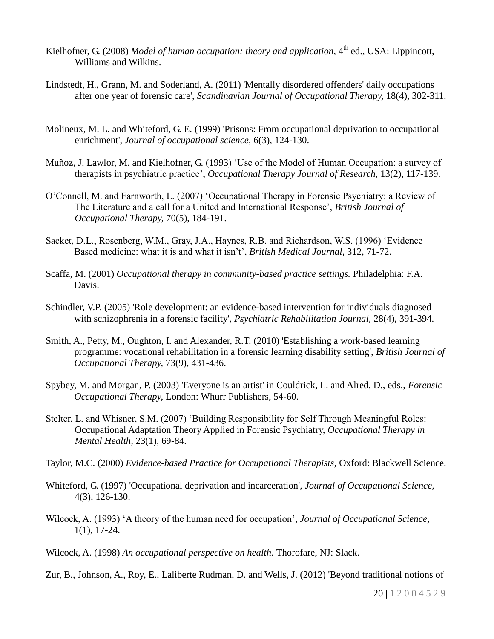- Kielhofner, G. (2008) *Model of human occupation: theory and application*, 4<sup>th</sup> ed., USA: Lippincott, Williams and Wilkins.
- Lindstedt, H., Grann, M. and Soderland, A. (2011) 'Mentally disordered offenders' daily occupations after one year of forensic care', *Scandinavian Journal of Occupational Therapy,* 18(4), 302-311.
- Molineux, M. L. and Whiteford, G. E. (1999) 'Prisons: From occupational deprivation to occupational enrichment', *Journal of occupational science,* 6(3), 124-130.
- Muñoz, J. Lawlor, M. and Kielhofner, G. (1993) 'Use of the Model of Human Occupation: a survey of therapists in psychiatric practice', *Occupational Therapy Journal of Research,* 13(2), 117-139.
- O'Connell, M. and Farnworth, L. (2007) 'Occupational Therapy in Forensic Psychiatry: a Review of The Literature and a call for a United and International Response', *British Journal of Occupational Therapy,* 70(5), 184-191.
- Sacket, D.L., Rosenberg, W.M., Gray, J.A., Haynes, R.B. and Richardson, W.S. (1996) 'Evidence Based medicine: what it is and what it isn't', *British Medical Journal,* 312, 71-72.
- Scaffa, M. (2001) *Occupational therapy in community-based practice settings.* Philadelphia: F.A. Davis.
- Schindler, V.P. (2005) 'Role development: an evidence-based intervention for individuals diagnosed with schizophrenia in a forensic facility', *Psychiatric Rehabilitation Journal,* 28(4), 391-394.
- Smith, A., Petty, M., Oughton, I. and Alexander, R.T. (2010) 'Establishing a work-based learning programme: vocational rehabilitation in a forensic learning disability setting', *British Journal of Occupational Therapy,* 73(9), 431-436.
- Spybey, M. and Morgan, P. (2003) 'Everyone is an artist' in Couldrick, L. and Alred, D., eds., *Forensic Occupational Therapy,* London: Whurr Publishers, 54-60.
- Stelter, L. and Whisner, S.M. (2007) 'Building Responsibility for Self Through Meaningful Roles: Occupational Adaptation Theory Applied in Forensic Psychiatry, *Occupational Therapy in Mental Health,* 23(1), 69-84.
- Taylor, M.C. (2000) *Evidence-based Practice for Occupational Therapists,* Oxford: Blackwell Science.
- Whiteford, G. (1997) 'Occupational deprivation and incarceration', *Journal of Occupational Science,* 4(3), 126-130.
- Wilcock, A. (1993) 'A theory of the human need for occupation', *Journal of Occupational Science,*  1(1), 17-24.
- Wilcock, A. (1998) *An occupational perspective on health.* Thorofare, NJ: Slack.

Zur, B., Johnson, A., Roy, E., Laliberte Rudman, D. and Wells, J. (2012) 'Beyond traditional notions of